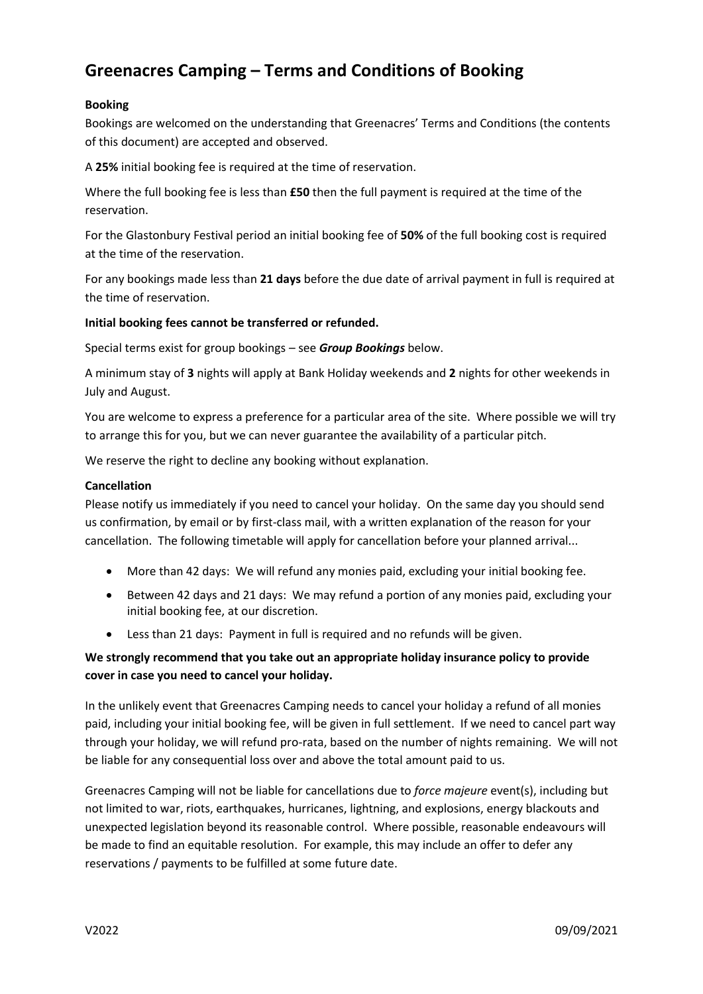# **Greenacres Camping – Terms and Conditions of Booking**

## **Booking**

Bookings are welcomed on the understanding that Greenacres' Terms and Conditions (the contents of this document) are accepted and observed.

A **25%** initial booking fee is required at the time of reservation.

Where the full booking fee is less than **£50** then the full payment is required at the time of the reservation.

For the Glastonbury Festival period an initial booking fee of **50%** of the full booking cost is required at the time of the reservation.

For any bookings made less than **21 days** before the due date of arrival payment in full is required at the time of reservation.

## **Initial booking fees cannot be transferred or refunded.**

Special terms exist for group bookings – see *Group Bookings* below.

A minimum stay of **3** nights will apply at Bank Holiday weekends and **2** nights for other weekends in July and August.

You are welcome to express a preference for a particular area of the site. Where possible we will try to arrange this for you, but we can never guarantee the availability of a particular pitch.

We reserve the right to decline any booking without explanation.

## **Cancellation**

Please notify us immediately if you need to cancel your holiday. On the same day you should send us confirmation, by email or by first-class mail, with a written explanation of the reason for your cancellation. The following timetable will apply for cancellation before your planned arrival...

- More than 42 days: We will refund any monies paid, excluding your initial booking fee.
- Between 42 days and 21 days: We may refund a portion of any monies paid, excluding your initial booking fee, at our discretion.
- Less than 21 days: Payment in full is required and no refunds will be given.

## **We strongly recommend that you take out an appropriate holiday insurance policy to provide cover in case you need to cancel your holiday.**

In the unlikely event that Greenacres Camping needs to cancel your holiday a refund of all monies paid, including your initial booking fee, will be given in full settlement. If we need to cancel part way through your holiday, we will refund pro-rata, based on the number of nights remaining. We will not be liable for any consequential loss over and above the total amount paid to us.

Greenacres Camping will not be liable for cancellations due to *force majeure* event(s), including but not limited to war, riots, earthquakes, hurricanes, lightning, and explosions, energy blackouts and unexpected legislation beyond its reasonable control. Where possible, reasonable endeavours will be made to find an equitable resolution. For example, this may include an offer to defer any reservations / payments to be fulfilled at some future date.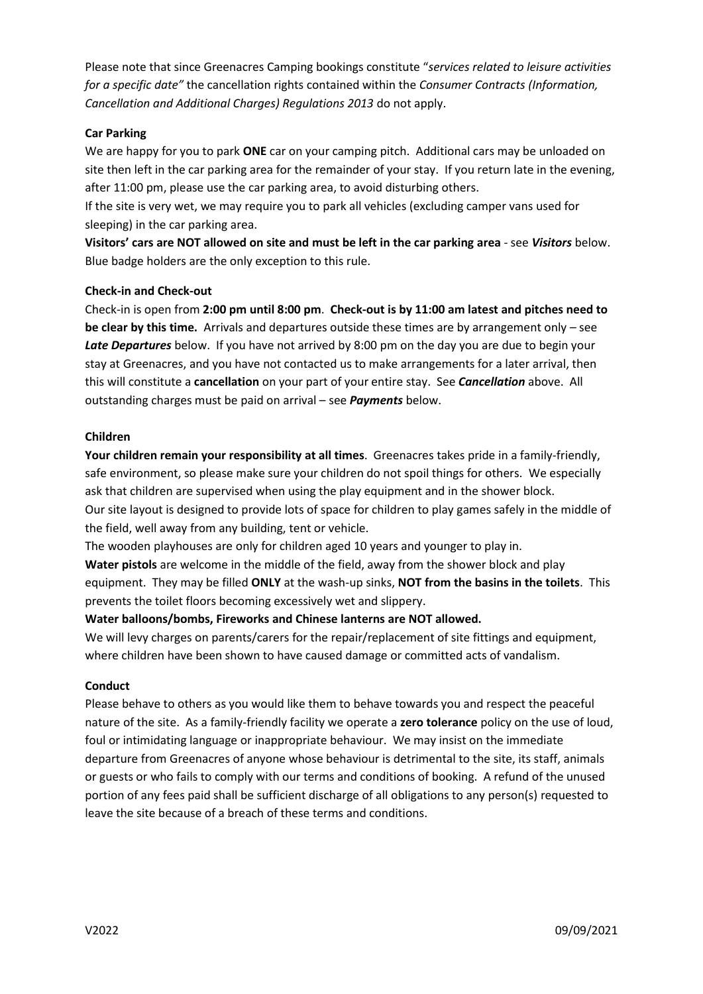Please note that since Greenacres Camping bookings constitute "*services related to leisure activities for a specific date"* the cancellation rights contained within the *Consumer Contracts (Information, Cancellation and Additional Charges) Regulations 2013* do not apply.

## **Car Parking**

We are happy for you to park **ONE** car on your camping pitch. Additional cars may be unloaded on site then left in the car parking area for the remainder of your stay. If you return late in the evening, after 11:00 pm, please use the car parking area, to avoid disturbing others.

If the site is very wet, we may require you to park all vehicles (excluding camper vans used for sleeping) in the car parking area.

**Visitors' cars are NOT allowed on site and must be left in the car parking area** - see *Visitors* below. Blue badge holders are the only exception to this rule.

## **Check-in and Check-out**

Check-in is open from **2:00 pm until 8:00 pm**. **Check-out is by 11:00 am latest and pitches need to be clear by this time.** Arrivals and departures outside these times are by arrangement only – see *Late Departures* below. If you have not arrived by 8:00 pm on the day you are due to begin your stay at Greenacres, and you have not contacted us to make arrangements for a later arrival, then this will constitute a **cancellation** on your part of your entire stay. See *Cancellation* above. All outstanding charges must be paid on arrival – see *Payments* below.

## **Children**

**Your children remain your responsibility at all times**. Greenacres takes pride in a family-friendly, safe environment, so please make sure your children do not spoil things for others. We especially ask that children are supervised when using the play equipment and in the shower block. Our site layout is designed to provide lots of space for children to play games safely in the middle of the field, well away from any building, tent or vehicle.

The wooden playhouses are only for children aged 10 years and younger to play in.

**Water pistols** are welcome in the middle of the field, away from the shower block and play equipment. They may be filled **ONLY** at the wash-up sinks, **NOT from the basins in the toilets**. This prevents the toilet floors becoming excessively wet and slippery.

## **Water balloons/bombs, Fireworks and Chinese lanterns are NOT allowed.**

We will levy charges on parents/carers for the repair/replacement of site fittings and equipment, where children have been shown to have caused damage or committed acts of vandalism.

## **Conduct**

Please behave to others as you would like them to behave towards you and respect the peaceful nature of the site. As a family-friendly facility we operate a **zero tolerance** policy on the use of loud, foul or intimidating language or inappropriate behaviour. We may insist on the immediate departure from Greenacres of anyone whose behaviour is detrimental to the site, its staff, animals or guests or who fails to comply with our terms and conditions of booking. A refund of the unused portion of any fees paid shall be sufficient discharge of all obligations to any person(s) requested to leave the site because of a breach of these terms and conditions.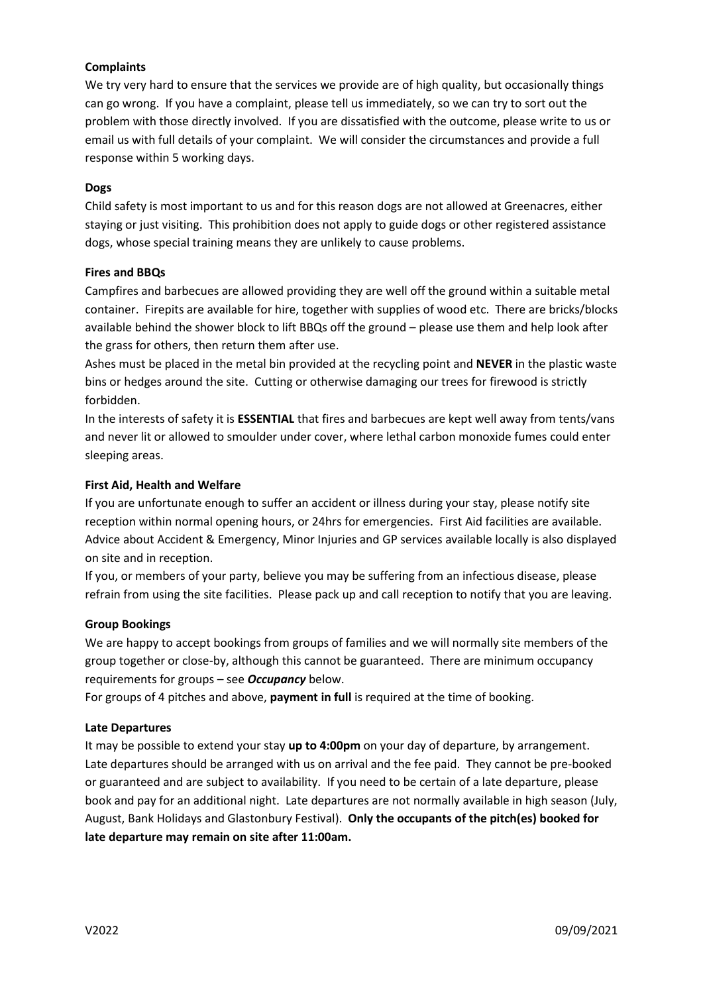## **Complaints**

We try very hard to ensure that the services we provide are of high quality, but occasionally things can go wrong. If you have a complaint, please tell us immediately, so we can try to sort out the problem with those directly involved. If you are dissatisfied with the outcome, please write to us or email us with full details of your complaint. We will consider the circumstances and provide a full response within 5 working days.

## **Dogs**

Child safety is most important to us and for this reason dogs are not allowed at Greenacres, either staying or just visiting. This prohibition does not apply to guide dogs or other registered assistance dogs, whose special training means they are unlikely to cause problems.

## **Fires and BBQs**

Campfires and barbecues are allowed providing they are well off the ground within a suitable metal container. Firepits are available for hire, together with supplies of wood etc. There are bricks/blocks available behind the shower block to lift BBQs off the ground – please use them and help look after the grass for others, then return them after use.

Ashes must be placed in the metal bin provided at the recycling point and **NEVER** in the plastic waste bins or hedges around the site. Cutting or otherwise damaging our trees for firewood is strictly forbidden.

In the interests of safety it is **ESSENTIAL** that fires and barbecues are kept well away from tents/vans and never lit or allowed to smoulder under cover, where lethal carbon monoxide fumes could enter sleeping areas.

## **First Aid, Health and Welfare**

If you are unfortunate enough to suffer an accident or illness during your stay, please notify site reception within normal opening hours, or 24hrs for emergencies. First Aid facilities are available. Advice about Accident & Emergency, Minor Injuries and GP services available locally is also displayed on site and in reception.

If you, or members of your party, believe you may be suffering from an infectious disease, please refrain from using the site facilities. Please pack up and call reception to notify that you are leaving.

## **Group Bookings**

We are happy to accept bookings from groups of families and we will normally site members of the group together or close-by, although this cannot be guaranteed. There are minimum occupancy requirements for groups – see *Occupancy* below.

For groups of 4 pitches and above, **payment in full** is required at the time of booking.

## **Late Departures**

It may be possible to extend your stay **up to 4:00pm** on your day of departure, by arrangement. Late departures should be arranged with us on arrival and the fee paid. They cannot be pre-booked or guaranteed and are subject to availability. If you need to be certain of a late departure, please book and pay for an additional night. Late departures are not normally available in high season (July, August, Bank Holidays and Glastonbury Festival). **Only the occupants of the pitch(es) booked for late departure may remain on site after 11:00am.**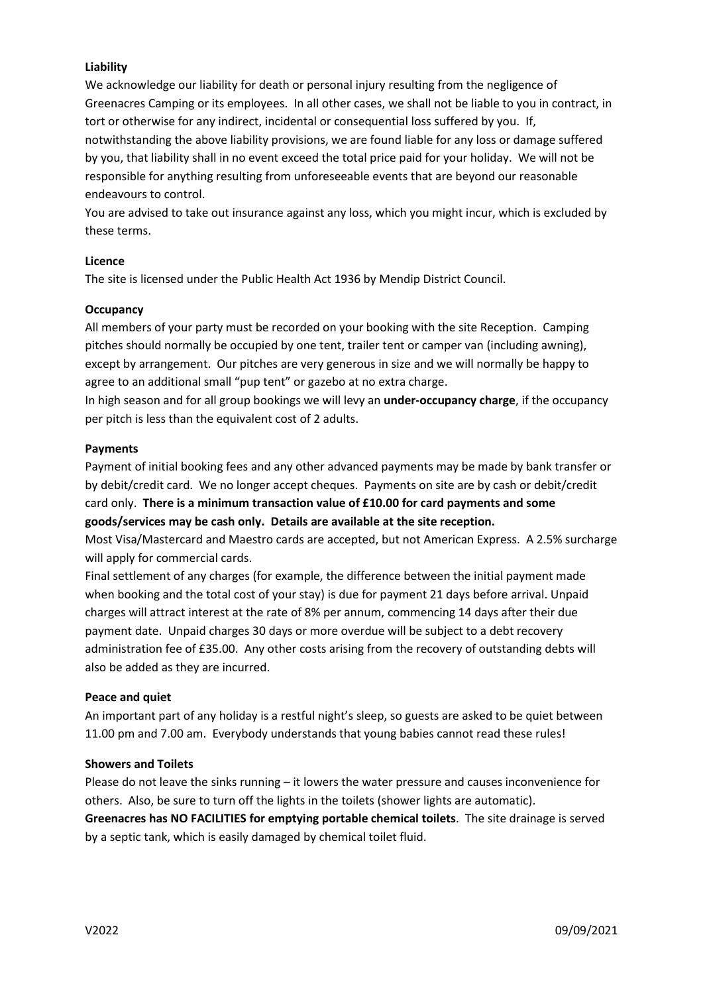## **Liability**

We acknowledge our liability for death or personal injury resulting from the negligence of Greenacres Camping or its employees. In all other cases, we shall not be liable to you in contract, in tort or otherwise for any indirect, incidental or consequential loss suffered by you. If, notwithstanding the above liability provisions, we are found liable for any loss or damage suffered by you, that liability shall in no event exceed the total price paid for your holiday. We will not be responsible for anything resulting from unforeseeable events that are beyond our reasonable endeavours to control.

You are advised to take out insurance against any loss, which you might incur, which is excluded by these terms.

## **Licence**

The site is licensed under the Public Health Act 1936 by Mendip District Council.

## **Occupancy**

All members of your party must be recorded on your booking with the site Reception. Camping pitches should normally be occupied by one tent, trailer tent or camper van (including awning), except by arrangement. Our pitches are very generous in size and we will normally be happy to agree to an additional small "pup tent" or gazebo at no extra charge.

In high season and for all group bookings we will levy an **under-occupancy charge**, if the occupancy per pitch is less than the equivalent cost of 2 adults.

#### **Payments**

Payment of initial booking fees and any other advanced payments may be made by bank transfer or by debit/credit card. We no longer accept cheques. Payments on site are by cash or debit/credit card only. **There is a minimum transaction value of £10.00 for card payments and some goods/services may be cash only. Details are available at the site reception.**

Most Visa/Mastercard and Maestro cards are accepted, but not American Express. A 2.5% surcharge will apply for commercial cards.

Final settlement of any charges (for example, the difference between the initial payment made when booking and the total cost of your stay) is due for payment 21 days before arrival. Unpaid charges will attract interest at the rate of 8% per annum, commencing 14 days after their due payment date. Unpaid charges 30 days or more overdue will be subject to a debt recovery administration fee of £35.00. Any other costs arising from the recovery of outstanding debts will also be added as they are incurred.

#### **Peace and quiet**

An important part of any holiday is a restful night's sleep, so guests are asked to be quiet between 11.00 pm and 7.00 am. Everybody understands that young babies cannot read these rules!

## **Showers and Toilets**

Please do not leave the sinks running – it lowers the water pressure and causes inconvenience for others. Also, be sure to turn off the lights in the toilets (shower lights are automatic).

**Greenacres has NO FACILITIES for emptying portable chemical toilets**. The site drainage is served by a septic tank, which is easily damaged by chemical toilet fluid.